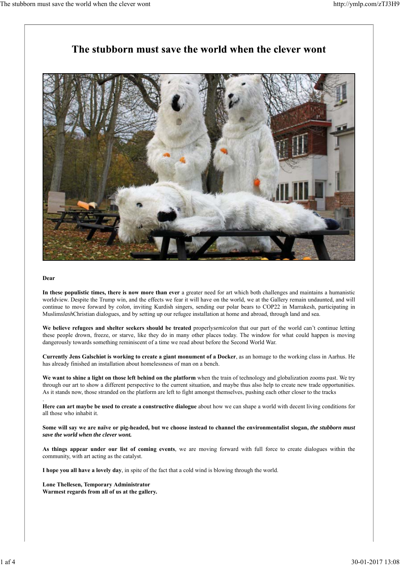## The stubborn must save the world when the clever wont



#### **Dear**

.

**In these populistic times, there is now more than ever** a greater need for art which both challenges and maintains a humanistic worldview. Despite the Trump win, and the effects we fear it will have on the world, we at the Gallery remain undaunted, and will continue to move forward by *colon,* inviting Kurdish singers, sending our polar bears to COP22 in Marrakesh, participating in Muslim*slash*Christian dialogues, and by setting up our refugee installation at home and abroad, through land and sea.

**We believe refugees and shelter seekers should be treated** properly*semicolon* that our part of the world can't continue letting these people drown, freeze, or starve, like they do in many other places today. The window for what could happen is moving dangerously towards something reminiscent of a time we read about before the Second World War.

**Currently Jens Galschiøt is working to create a giant monument of a Docker**, as an homage to the working class in Aarhus. He has already finished an installation about homelessness of man on a bench.

**We want to shine a light on those left behind on the platform** when the train of technology and globalization zooms past. We try through our art to show a different perspective to the current situation, and maybe thus also help to create new trade opportunities. As it stands now, those stranded on the platform are left to fight amongst themselves, pushing each other closer to the tracks

**Here can art maybe be used to create a constructive dialogue** about how we can shape a world with decent living conditions for all those who inhabit it.

**Some will say we are naïve or pig-headed, but we choose instead to channel the environmentalist slogan,** *the stubborn must save the world when the clever wont.*

**As things appear under our list of coming events**, we are moving forward with full force to create dialogues within the community, with art acting as the catalyst.

**I hope you all have a lovely day**, in spite of the fact that a cold wind is blowing through the world.

**Lone Thellesen, Temporary Administrator Warmest regards from all of us at the gallery.**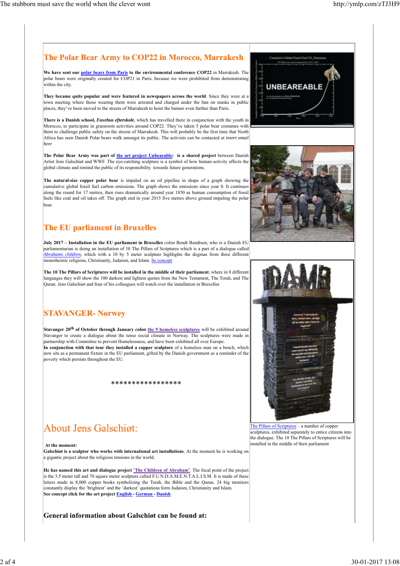#### **The Polar Bear Army to COP22 in Morocco, Marrakesh**

**We have sent our polar bears from Paris to the environmental conference COP22** in Marrakesh. The polar bears were originally created for COP21 in Paris, because we were prohibited from demonstrating within the city.

**They became quite popular and were featured in newspapers across the world**. Since they were at a town meeting where those wearing them were arrested and charged under the ban on masks in public places, they've been moved to the streets of Marrakesh to hoist the banner even further than Paris.

**There is a Danish school,** *Faxehus efterskole*, which has travelled there in conjunction with the youth in Morocco, to participate in grassroots activities around COP22. They've taken 5 polar bear costumes with them to challenge public safety on the streets of Marrakesh. This will probably be the first time that North Africa has seen Danish Polar bears walk amongst its public. The activists can be contacted at *insert email here*

The Polar Bear Army was part of the art project Unbearable: is a shared project between Danish Artist Jens Galschiøt and WWF. The eye-catching sculpture is a symbol of how human activity affects the global climate and remind the public of its responsibility towards future generations.

**The natural-size copper polar bear** is impaled on an oil pipeline in shape of a graph showing the cumulative global fossil fuel carbon emissions. The graph shows the emissions since year 0. It continues along the round for 17 metres, then rises dramatically around year 1850 as human consumption of fossil fuels like coal and oil takes off. The graph end in year 2015 five metres above ground impaling the polar bear.

### **The EU parliament in Bruxelles**

**July 2017 – Installation in the EU parliament in Bruxelles** *colon* Bendt Bendtsen, who is a Danish EU parliamentarian is doing an installation of 10 The Pillars of Scriptures which is a part of a dialogue called *Abrahams children,* which with a 10 by 5 meter sculpture highlights the dogmas from three different monotheistic religions, Christianity, Judaism, and Islam. Se concept

**The 10 The Pillars of Scriptures will be installed in the middle of their parliament**, where in 8 different languages they will show the 100 darkest and lightest quotes from the New Testament, The Torah, and The Quran. Jens Galschiøt and four of his colleagues will watch over the installation in Bruxelles

## **STAVANGER- Norwey**

**Stavanger 20th of October through January** *colon* **the 9 homeless sculptures** will be exhibited around Stavanger to create a dialogue about the tense social climate in Norway. The sculptures were made in partnership with Committee to prevent Homelessness, and have been exhibited all over Europe. **In conjunction with that tour they installed a copper sculpture** of a homeless man on a bench, which now sits as a permanent fixture in the EU parliament, gifted by the Danish government as a reminder of the poverty which persists throughout the EU.

#### \*\*\*\*\*\*\*\*\*\*\*\*\*\*\*\*\*

# **About Jens Galschigt:**

**At the moment:**

**Galschiøt is a sculptor who works with international art installations**. At the moment he is working on a gigantic project about the religious tensions in the world.

**He has named this art and dialogue project 'The Children of Abraham'**. The focal point of the project is the 3.5 meter tall and 70 square meter sculpture called F.U.N.D.A.M.E.N.T.A.L.I.S.M. It is made of these letters made in 8,000 copper books symbolizing the Torah, the Bible and the Quran. 24 big monitors constantly display the 'brightest' and the 'darkest' quotations form Judaism, Christianity and Islam. **See concept click for the art project English - German - Danish**

**General information about Galschiøt can be found at:**







The Pillars of Scriptures – a number of copper sculptures, exhibited separately to entice citizens into the dialogue. The 10 The Pillars of Scriptures will be installed in the middle of their parliament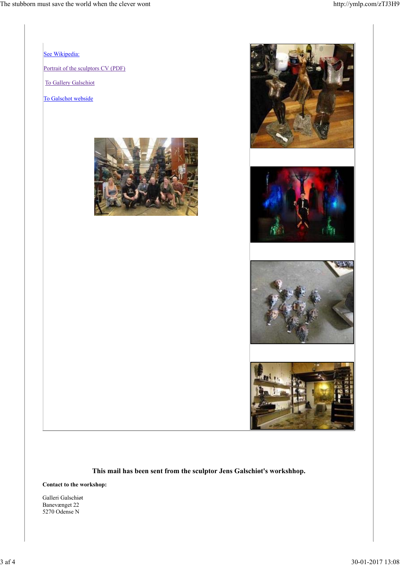

**This mail has been sent from the sculptor Jens Galschiøt's workshhop.**

**Contact to the workshop:**

Galleri Galschiøt Banevænget 22 5270 Odense N